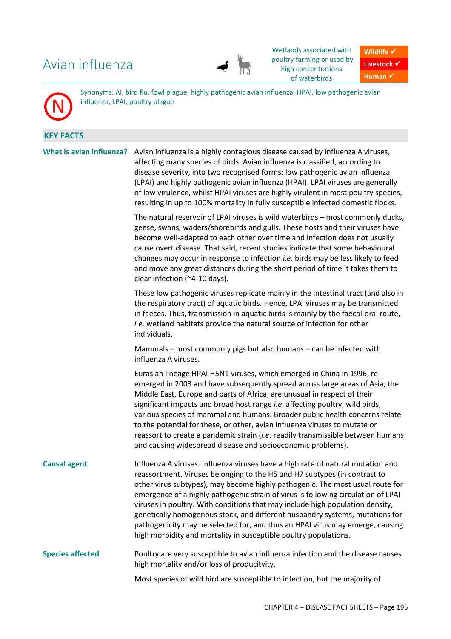# Avian influenza



Wetlands associated with poultry farming or used by high concentrations of waterbirds

**Wildlife**  $\checkmark$ Livestock  $\checkmark$ **Human** -

Synonyms: AI, bird flu, fowl plague, highly pathogenic avian influenza, HPAI, low pathogenic avian influenza, LPAI, poultry plague

## **KEY FACTS**

N

**What is avian influenza?** Avian influenza is a highly contagious disease caused by influenza A viruses, affecting many species of birds. Avian influenza is classified, according to disease severity, into two recognised forms: low pathogenic avian influenza (LPAI) and highly pathogenic avian influenza (HPAI). LPAI viruses are generally of low virulence, whilst HPAI viruses are highly virulent in most poultry species, resulting in up to 100% mortality in fully susceptible infected domestic flocks. The natural reservoir of LPAI viruses is wild waterbirds – most commonly ducks, geese, swans, waders/shorebirds and gulls. These hosts and their viruses have become well-adapted to each other over time and infection does not usually cause overt disease. That said, recent studies indicate that some behavioural changes may occur in response to infection *i.e*. birds may be less likely to feed and move any great distances during the short period of time it takes them to clear infection (~4-10 days). These low pathogenic viruses replicate mainly in the intestinal tract (and also in the respiratory tract) of aquatic birds. Hence, LPAI viruses may be transmitted in faeces. Thus, transmission in aquatic birds is mainly by the faecal-oral route, *i.e.* wetland habitats provide the natural source of infection for other individuals. Mammals – most commonly pigs but also humans – can be infected with influenza A viruses. Eurasian lineage HPAI H5N1 viruses, which emerged in China in 1996, reemerged in 2003 and have subsequently spread across large areas of Asia, the Middle East, Europe and parts of Africa, are unusual in respect of their significant impacts and broad host range *i.e*. affecting poultry, wild birds, various species of mammal and humans. Broader public health concerns relate to the potential for these, or other, avian influenza viruses to mutate or reassort to create a pandemic strain (*i.e*. readily transmissible between humans and causing widespread disease and socioeconomic problems). **Causal agent** Influenza A viruses. Influenza viruses have a high rate of natural mutation and reassortment. Viruses belonging to the H5 and H7 subtypes (in contrast to other virus subtypes), may become highly pathogenic. The most usual route for emergence of a highly pathogenic strain of virus is following circulation of LPAI viruses in poultry. With conditions that may include high population density, genetically homogenous stock, and different husbandry systems, mutations for pathogenicity may be selected for, and thus an HPAI virus may emerge, causing high morbidity and mortality in susceptible poultry populations. **Species affected** Poultry are very susceptible to avian influenza infection and the disease causes high mortality and/or loss of producitvity. Most species of wild bird are susceptible to infection, but the majority of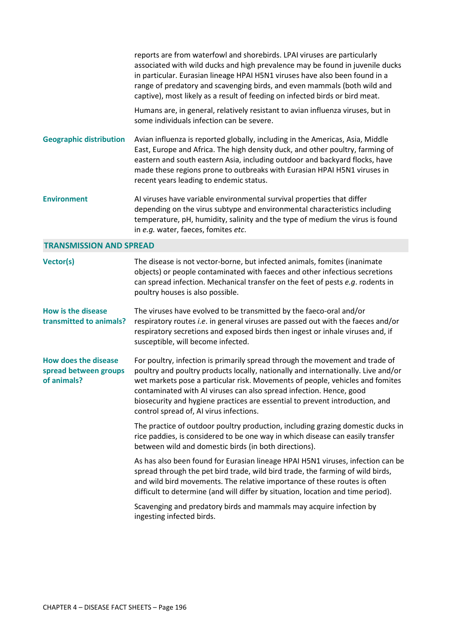|                                                                     | reports are from waterfowl and shorebirds. LPAI viruses are particularly<br>associated with wild ducks and high prevalence may be found in juvenile ducks<br>in particular. Eurasian lineage HPAI H5N1 viruses have also been found in a<br>range of predatory and scavenging birds, and even mammals (both wild and<br>captive), most likely as a result of feeding on infected birds or bird meat.                                                 |
|---------------------------------------------------------------------|------------------------------------------------------------------------------------------------------------------------------------------------------------------------------------------------------------------------------------------------------------------------------------------------------------------------------------------------------------------------------------------------------------------------------------------------------|
|                                                                     | Humans are, in general, relatively resistant to avian influenza viruses, but in<br>some individuals infection can be severe.                                                                                                                                                                                                                                                                                                                         |
| <b>Geographic distribution</b>                                      | Avian influenza is reported globally, including in the Americas, Asia, Middle<br>East, Europe and Africa. The high density duck, and other poultry, farming of<br>eastern and south eastern Asia, including outdoor and backyard flocks, have<br>made these regions prone to outbreaks with Eurasian HPAI H5N1 viruses in<br>recent years leading to endemic status.                                                                                 |
| <b>Environment</b>                                                  | AI viruses have variable environmental survival properties that differ<br>depending on the virus subtype and environmental characteristics including<br>temperature, pH, humidity, salinity and the type of medium the virus is found<br>in e.g. water, faeces, fomites etc.                                                                                                                                                                         |
| <b>TRANSMISSION AND SPREAD</b>                                      |                                                                                                                                                                                                                                                                                                                                                                                                                                                      |
| Vector(s)                                                           | The disease is not vector-borne, but infected animals, fomites (inanimate<br>objects) or people contaminated with faeces and other infectious secretions<br>can spread infection. Mechanical transfer on the feet of pests e.g. rodents in<br>poultry houses is also possible.                                                                                                                                                                       |
| <b>How is the disease</b><br>transmitted to animals?                | The viruses have evolved to be transmitted by the faeco-oral and/or<br>respiratory routes i.e. in general viruses are passed out with the faeces and/or<br>respiratory secretions and exposed birds then ingest or inhale viruses and, if<br>susceptible, will become infected.                                                                                                                                                                      |
| <b>How does the disease</b><br>spread between groups<br>of animals? | For poultry, infection is primarily spread through the movement and trade of<br>poultry and poultry products locally, nationally and internationally. Live and/or<br>wet markets pose a particular risk. Movements of people, vehicles and fomites<br>contaminated with AI viruses can also spread infection. Hence, good<br>biosecurity and hygiene practices are essential to prevent introduction, and<br>control spread of, AI virus infections. |
|                                                                     | The practice of outdoor poultry production, including grazing domestic ducks in<br>rice paddies, is considered to be one way in which disease can easily transfer<br>between wild and domestic birds (in both directions).                                                                                                                                                                                                                           |
|                                                                     | As has also been found for Eurasian lineage HPAI H5N1 viruses, infection can be<br>spread through the pet bird trade, wild bird trade, the farming of wild birds,<br>and wild bird movements. The relative importance of these routes is often<br>difficult to determine (and will differ by situation, location and time period).                                                                                                                   |
|                                                                     | Scavenging and predatory birds and mammals may acquire infection by<br>ingesting infected birds.                                                                                                                                                                                                                                                                                                                                                     |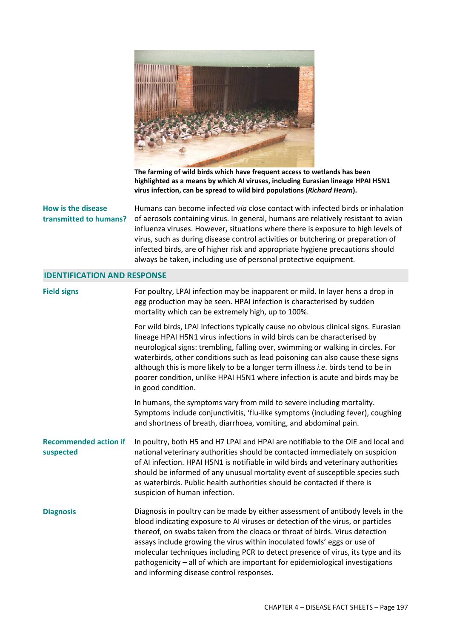

**The farming of wild birds which have frequent access to wetlands has been highlighted as a means by which AI viruses, including Eurasian lineage HPAI H5N1 virus infection, can be spread to wild bird populations (***Richard Hearn***).** 

#### **How is the disease transmitted to humans?**

Humans can become infected *via* close contact with infected birds or inhalation of aerosols containing virus. In general, humans are relatively resistant to avian influenza viruses. However, situations where there is exposure to high levels of virus, such as during disease control activities or butchering or preparation of infected birds, are of higher risk and appropriate hygiene precautions should always be taken, including use of personal protective equipment.

#### **IDENTIFICATION AND RESPONSE**

| <b>Field signs</b>                        | For poultry, LPAI infection may be inapparent or mild. In layer hens a drop in<br>egg production may be seen. HPAI infection is characterised by sudden<br>mortality which can be extremely high, up to 100%.                                                                                                                                                                                                                                                                                                                                  |
|-------------------------------------------|------------------------------------------------------------------------------------------------------------------------------------------------------------------------------------------------------------------------------------------------------------------------------------------------------------------------------------------------------------------------------------------------------------------------------------------------------------------------------------------------------------------------------------------------|
|                                           | For wild birds, LPAI infections typically cause no obvious clinical signs. Eurasian<br>lineage HPAI H5N1 virus infections in wild birds can be characterised by<br>neurological signs: trembling, falling over, swimming or walking in circles. For<br>waterbirds, other conditions such as lead poisoning can also cause these signs<br>although this is more likely to be a longer term illness <i>i.e.</i> birds tend to be in<br>poorer condition, unlike HPAI H5N1 where infection is acute and birds may be<br>in good condition.        |
|                                           | In humans, the symptoms vary from mild to severe including mortality.<br>Symptoms include conjunctivitis, 'flu-like symptoms (including fever), coughing<br>and shortness of breath, diarrhoea, vomiting, and abdominal pain.                                                                                                                                                                                                                                                                                                                  |
| <b>Recommended action if</b><br>suspected | In poultry, both H5 and H7 LPAI and HPAI are notifiable to the OIE and local and<br>national veterinary authorities should be contacted immediately on suspicion<br>of AI infection. HPAI H5N1 is notifiable in wild birds and veterinary authorities<br>should be informed of any unusual mortality event of susceptible species such<br>as waterbirds. Public health authorities should be contacted if there is<br>suspicion of human infection.                                                                                            |
| <b>Diagnosis</b>                          | Diagnosis in poultry can be made by either assessment of antibody levels in the<br>blood indicating exposure to AI viruses or detection of the virus, or particles<br>thereof, on swabs taken from the cloaca or throat of birds. Virus detection<br>assays include growing the virus within inoculated fowls' eggs or use of<br>molecular techniques including PCR to detect presence of virus, its type and its<br>pathogenicity - all of which are important for epidemiological investigations<br>and informing disease control responses. |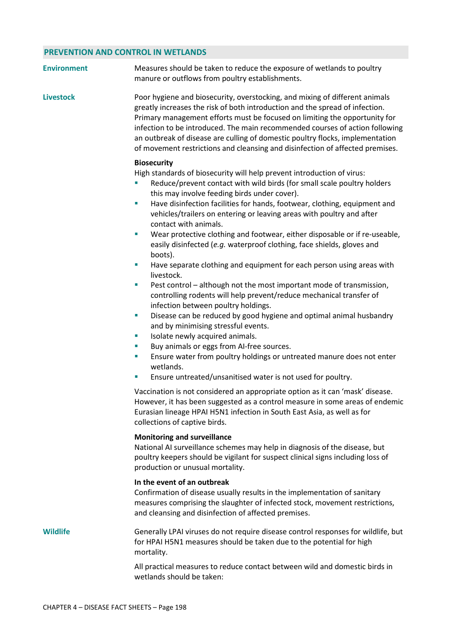### **PREVENTION AND CONTROL IN WETLANDS**

| <b>Environment</b> | Measures should be taken to reduce the exposure of wetlands to poultry<br>manure or outflows from poultry establishments.                                                                                                                                                                                                                                                                                                                                                                                                                                                                                                                                                                                                                                                                                                                                                                                                                                                                                                                                                                                                                                                                                                                                                                                                                                                                                                                                                                                                              |
|--------------------|----------------------------------------------------------------------------------------------------------------------------------------------------------------------------------------------------------------------------------------------------------------------------------------------------------------------------------------------------------------------------------------------------------------------------------------------------------------------------------------------------------------------------------------------------------------------------------------------------------------------------------------------------------------------------------------------------------------------------------------------------------------------------------------------------------------------------------------------------------------------------------------------------------------------------------------------------------------------------------------------------------------------------------------------------------------------------------------------------------------------------------------------------------------------------------------------------------------------------------------------------------------------------------------------------------------------------------------------------------------------------------------------------------------------------------------------------------------------------------------------------------------------------------------|
| <b>Livestock</b>   | Poor hygiene and biosecurity, overstocking, and mixing of different animals<br>greatly increases the risk of both introduction and the spread of infection.<br>Primary management efforts must be focused on limiting the opportunity for<br>infection to be introduced. The main recommended courses of action following<br>an outbreak of disease are culling of domestic poultry flocks, implementation<br>of movement restrictions and cleansing and disinfection of affected premises.                                                                                                                                                                                                                                                                                                                                                                                                                                                                                                                                                                                                                                                                                                                                                                                                                                                                                                                                                                                                                                            |
|                    | <b>Biosecurity</b><br>High standards of biosecurity will help prevent introduction of virus:<br>Reduce/prevent contact with wild birds (for small scale poultry holders<br>this may involve feeding birds under cover).<br>Have disinfection facilities for hands, footwear, clothing, equipment and<br>п<br>vehicles/trailers on entering or leaving areas with poultry and after<br>contact with animals.<br>Wear protective clothing and footwear, either disposable or if re-useable,<br>×<br>easily disinfected (e.g. waterproof clothing, face shields, gloves and<br>boots).<br>Have separate clothing and equipment for each person using areas with<br>×,<br>livestock.<br>Pest control - although not the most important mode of transmission,<br>ш<br>controlling rodents will help prevent/reduce mechanical transfer of<br>infection between poultry holdings.<br>Disease can be reduced by good hygiene and optimal animal husbandry<br>×,<br>and by minimising stressful events.<br>Isolate newly acquired animals.<br>×<br>Buy animals or eggs from AI-free sources.<br>ш<br>Ensure water from poultry holdings or untreated manure does not enter<br>×<br>wetlands.<br>Ensure untreated/unsanitised water is not used for poultry.<br>T,<br>Vaccination is not considered an appropriate option as it can 'mask' disease.<br>However, it has been suggested as a control measure in some areas of endemic<br>Eurasian lineage HPAI H5N1 infection in South East Asia, as well as for<br>collections of captive birds. |
|                    | <b>Monitoring and surveillance</b><br>National AI surveillance schemes may help in diagnosis of the disease, but<br>poultry keepers should be vigilant for suspect clinical signs including loss of<br>production or unusual mortality.                                                                                                                                                                                                                                                                                                                                                                                                                                                                                                                                                                                                                                                                                                                                                                                                                                                                                                                                                                                                                                                                                                                                                                                                                                                                                                |
|                    | In the event of an outbreak<br>Confirmation of disease usually results in the implementation of sanitary<br>measures comprising the slaughter of infected stock, movement restrictions,<br>and cleansing and disinfection of affected premises.                                                                                                                                                                                                                                                                                                                                                                                                                                                                                                                                                                                                                                                                                                                                                                                                                                                                                                                                                                                                                                                                                                                                                                                                                                                                                        |
| Wildlife           | Generally LPAI viruses do not require disease control responses for wildlife, but<br>for HPAI H5N1 measures should be taken due to the potential for high<br>mortality.                                                                                                                                                                                                                                                                                                                                                                                                                                                                                                                                                                                                                                                                                                                                                                                                                                                                                                                                                                                                                                                                                                                                                                                                                                                                                                                                                                |
|                    | All practical measures to reduce contact between wild and domestic birds in<br>wetlands should be taken:                                                                                                                                                                                                                                                                                                                                                                                                                                                                                                                                                                                                                                                                                                                                                                                                                                                                                                                                                                                                                                                                                                                                                                                                                                                                                                                                                                                                                               |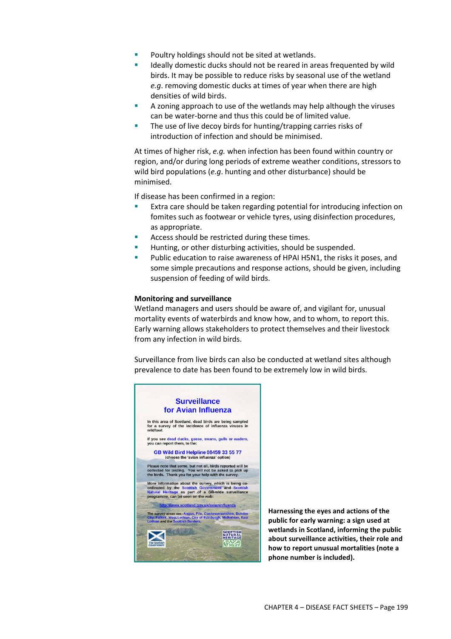- Poultry holdings should not be sited at wetlands.
- Ideally domestic ducks should not be reared in areas frequented by wild birds. It may be possible to reduce risks by seasonal use of the wetland *e.g*. removing domestic ducks at times of year when there are high densities of wild birds.
- A zoning approach to use of the wetlands may help although the viruses can be water-borne and thus this could be of limited value.
- The use of live decoy birds for hunting/trapping carries risks of introduction of infection and should be minimised.

At times of higher risk, *e.g.* when infection has been found within country or region, and/or during long periods of extreme weather conditions, stressors to wild bird populations (*e.g*. hunting and other disturbance) should be minimised.

If disease has been confirmed in a region:

- **Extra care should be taken regarding potential for introducing infection on** fomites such as footwear or vehicle tyres, using disinfection procedures, as appropriate.
- Access should be restricted during these times.
- Hunting, or other disturbing activities, should be suspended.
- Public education to raise awareness of HPAI H5N1, the risks it poses, and some simple precautions and response actions, should be given, including suspension of feeding of wild birds.

#### **Monitoring and surveillance**

Wetland managers and users should be aware of, and vigilant for, unusual mortality events of waterbirds and know how, and to whom, to report this. Early warning allows stakeholders to protect themselves and their livestock from any infection in wild birds.

Surveillance from live birds can also be conducted at wetland sites although prevalence to date has been found to be extremely low in wild birds.



**Harnessing the eyes and actions of the public for early warning: a sign used at wetlands in Scotland, informing the public about surveillance activities, their role and how to report unusual mortalities (note a phone number is included).**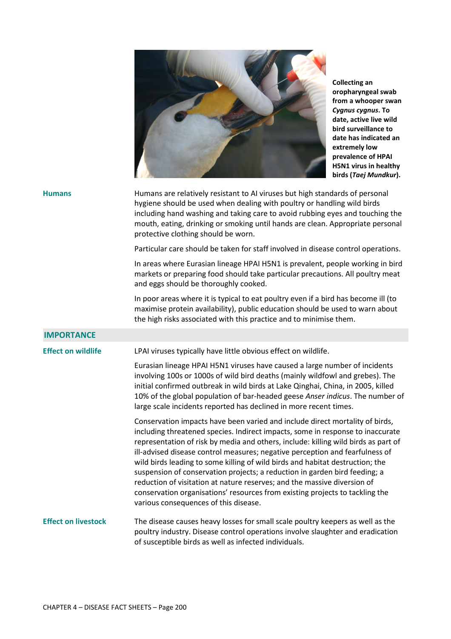

**Collecting an oropharyngeal swab from a whooper swan**  *Cygnus cygnus***. To date, active live wild bird surveillance to date has indicated an extremely low prevalence of HPAI H5N1 virus in healthy birds (***Taej Mundkur***).** 

| <b>Humans</b>              | Humans are relatively resistant to AI viruses but high standards of personal<br>hygiene should be used when dealing with poultry or handling wild birds<br>including hand washing and taking care to avoid rubbing eyes and touching the<br>mouth, eating, drinking or smoking until hands are clean. Appropriate personal<br>protective clothing should be worn.                                                                                                                                                                                                                                                                                                                                        |
|----------------------------|----------------------------------------------------------------------------------------------------------------------------------------------------------------------------------------------------------------------------------------------------------------------------------------------------------------------------------------------------------------------------------------------------------------------------------------------------------------------------------------------------------------------------------------------------------------------------------------------------------------------------------------------------------------------------------------------------------|
|                            | Particular care should be taken for staff involved in disease control operations.                                                                                                                                                                                                                                                                                                                                                                                                                                                                                                                                                                                                                        |
|                            | In areas where Eurasian lineage HPAI H5N1 is prevalent, people working in bird<br>markets or preparing food should take particular precautions. All poultry meat<br>and eggs should be thoroughly cooked.                                                                                                                                                                                                                                                                                                                                                                                                                                                                                                |
|                            | In poor areas where it is typical to eat poultry even if a bird has become ill (to<br>maximise protein availability), public education should be used to warn about<br>the high risks associated with this practice and to minimise them.                                                                                                                                                                                                                                                                                                                                                                                                                                                                |
| <b>IMPORTANCE</b>          |                                                                                                                                                                                                                                                                                                                                                                                                                                                                                                                                                                                                                                                                                                          |
| <b>Effect on wildlife</b>  | LPAI viruses typically have little obvious effect on wildlife.                                                                                                                                                                                                                                                                                                                                                                                                                                                                                                                                                                                                                                           |
|                            | Eurasian lineage HPAI H5N1 viruses have caused a large number of incidents<br>involving 100s or 1000s of wild bird deaths (mainly wildfowl and grebes). The<br>initial confirmed outbreak in wild birds at Lake Qinghai, China, in 2005, killed<br>10% of the global population of bar-headed geese Anser indicus. The number of<br>large scale incidents reported has declined in more recent times.                                                                                                                                                                                                                                                                                                    |
|                            | Conservation impacts have been varied and include direct mortality of birds,<br>including threatened species. Indirect impacts, some in response to inaccurate<br>representation of risk by media and others, include: killing wild birds as part of<br>ill-advised disease control measures; negative perception and fearfulness of<br>wild birds leading to some killing of wild birds and habitat destruction; the<br>suspension of conservation projects; a reduction in garden bird feeding; a<br>reduction of visitation at nature reserves; and the massive diversion of<br>conservation organisations' resources from existing projects to tackling the<br>various consequences of this disease. |
| <b>Effect on livestock</b> | The disease causes heavy losses for small scale poultry keepers as well as the<br>poultry industry. Disease control operations involve slaughter and eradication<br>of susceptible birds as well as infected individuals.                                                                                                                                                                                                                                                                                                                                                                                                                                                                                |